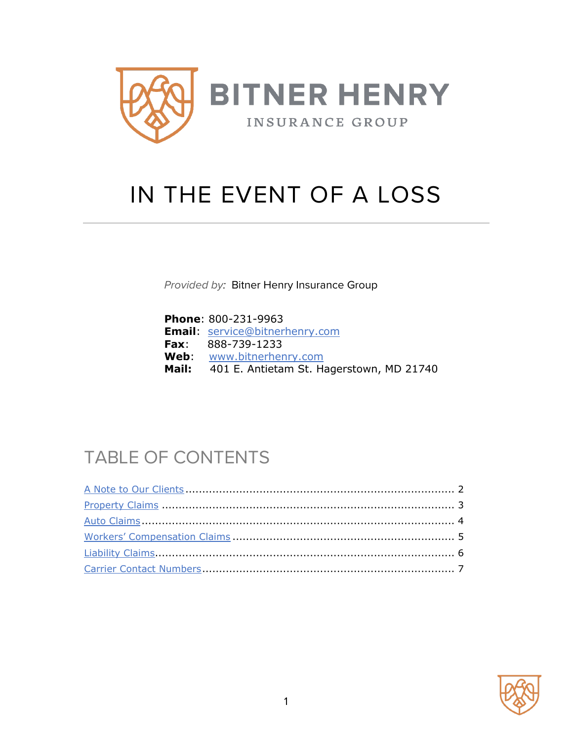

# IN THE EVENT OF A LOSS

*Provided by:* Bitner Henry Insurance Group

| <b>Phone: 800-231-9963</b>                     |
|------------------------------------------------|
| <b>Email:</b> service@bitnerhenry.com          |
| <b>Fax:</b> $888-739-1233$                     |
| <b>Web:</b> www.bitnerhenry.com                |
| Mail: 401 E. Antietam St. Hagerstown, MD 21740 |

## TABLE OF CONTENTS

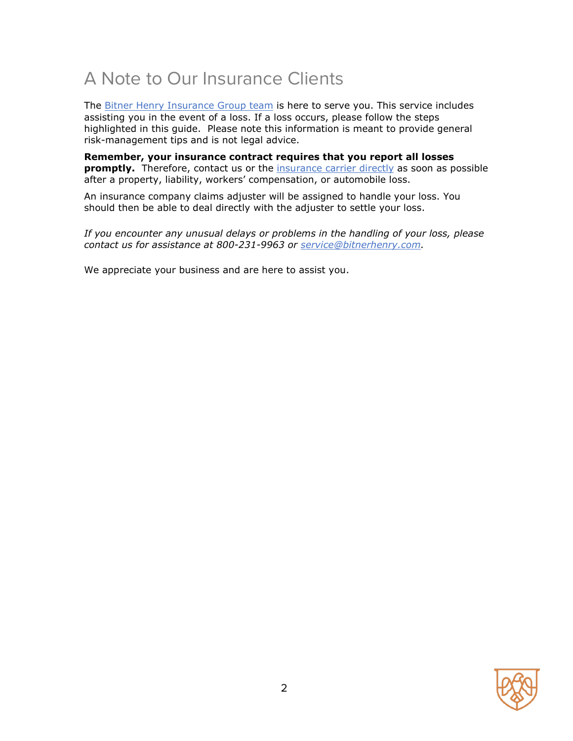### <span id="page-1-0"></span>A Note to Our Insurance Clients

The **Bitner Henry Insurance Group team** is here to serve you. This service includes assisting you in the event of a loss. If a loss occurs, please follow the steps highlighted in this guide. Please note this information is meant to provide general risk-management tips and is not legal advice.

**Remember, your insurance contract requires that you report all losses promptly.** Therefore, contact us or the **insurance carrier directly** as soon as possible after a property, liability, workers' compensation, or automobile loss.

An insurance company claims adjuster will be assigned to handle your loss. You should then be able to deal directly with the adjuster to settle your loss.

*If you encounter any unusual delays or problems in the handling of your loss, please contact us for assistance at 800-231-9963 or [service@bitnerhenry.com.](mailto:service@bitnerhenry.com)* 

We appreciate your business and are here to assist you.

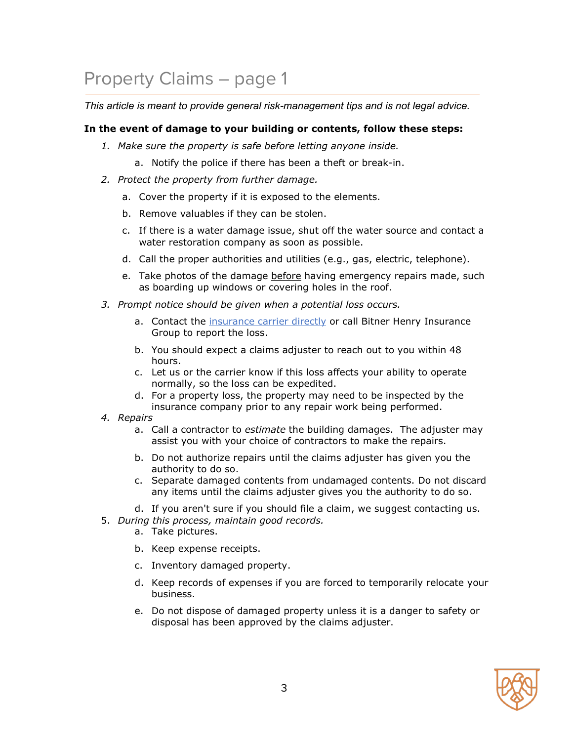## <span id="page-2-0"></span>Property Claims – page 1

*This article is meant to provide general risk-management tips and is not legal advice.*

#### **In the event of damage to your building or contents, follow these steps:**

- *1. Make sure the property is safe before letting anyone inside.* 
	- a. Notify the police if there has been a theft or break-in.
- *2. Protect the property from further damage.*
	- a. Cover the property if it is exposed to the elements.
	- b. Remove valuables if they can be stolen.
	- c. If there is a water damage issue, shut off the water source and contact a water restoration company as soon as possible.
	- d. Call the proper authorities and utilities (e.g., gas, electric, telephone).
	- e. Take photos of the damage before having emergency repairs made, such as boarding up windows or covering holes in the roof.
- *3. Prompt notice should be given when a potential loss occurs.*
	- a. Contact the [insurance carrier directly](#page-7-0) or call Bitner Henry Insurance Group to report the loss.
	- b. You should expect a claims adjuster to reach out to you within 48 hours.
	- c. Let us or the carrier know if this loss affects your ability to operate normally, so the loss can be expedited.
	- d. For a property loss, the property may need to be inspected by the insurance company prior to any repair work being performed.
- *4. Repairs*
	- a. Call a contractor to *estimate* the building damages. The adjuster may assist you with your choice of contractors to make the repairs.
	- b. Do not authorize repairs until the claims adjuster has given you the authority to do so.
	- c. Separate damaged contents from undamaged contents. Do not discard any items until the claims adjuster gives you the authority to do so.

d. If you aren't sure if you should file a claim, we suggest contacting us.

- 5. *During this process, maintain good records.*
	- a. Take pictures.
	- b. Keep expense receipts.
	- c. Inventory damaged property.
	- d. Keep records of expenses if you are forced to temporarily relocate your business.
	- e. Do not dispose of damaged property unless it is a danger to safety or disposal has been approved by the claims adjuster.

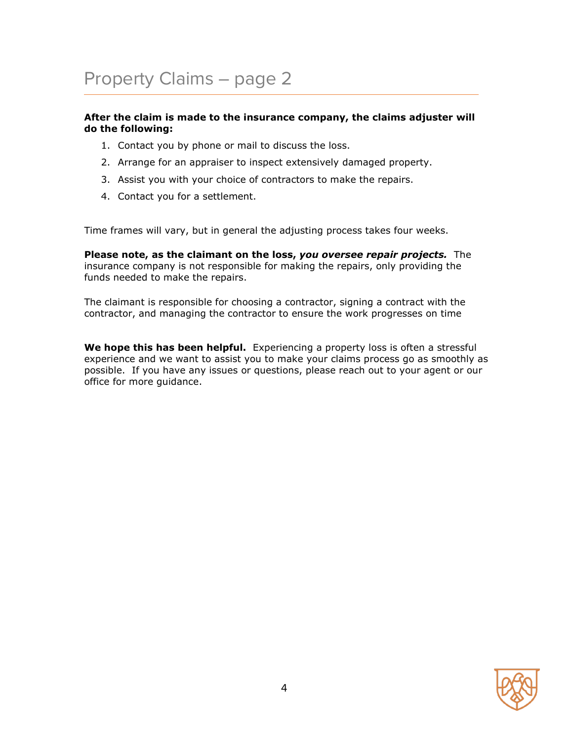### Property Claims – page 2

#### **After the claim is made to the insurance company, the claims adjuster will do the following:**

- 1. Contact you by phone or mail to discuss the loss.
- 2. Arrange for an appraiser to inspect extensively damaged property.
- 3. Assist you with your choice of contractors to make the repairs.
- 4. Contact you for a settlement.

Time frames will vary, but in general the adjusting process takes four weeks.

**Please note, as the claimant on the loss,** *you oversee repair projects.* The insurance company is not responsible for making the repairs, only providing the funds needed to make the repairs.

The claimant is responsible for choosing a contractor, signing a contract with the contractor, and managing the contractor to ensure the work progresses on time

**We hope this has been helpful.** Experiencing a property loss is often a stressful experience and we want to assist you to make your claims process go as smoothly as possible. If you have any issues or questions, please reach out to your agent or our office for more guidance.

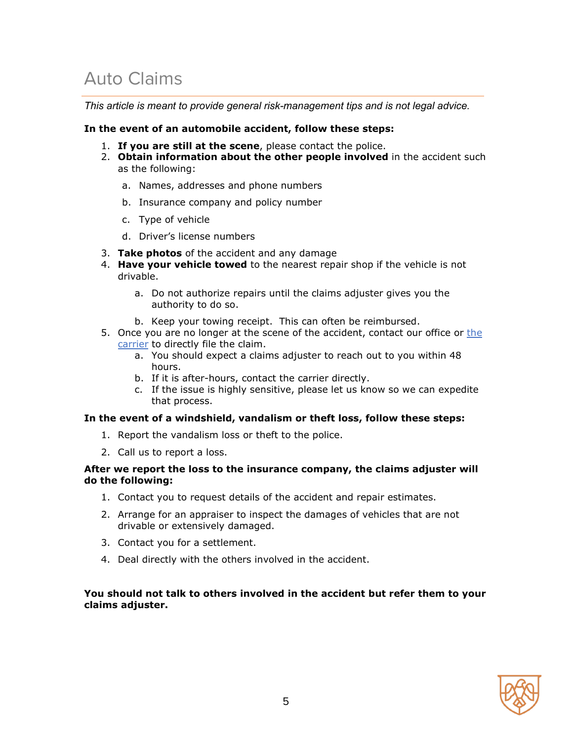### <span id="page-4-0"></span>Auto Claims

*This article is meant to provide general risk-management tips and is not legal advice.*

#### **In the event of an automobile accident, follow these steps:**

- 1. **If you are still at the scene**, please contact the police.
- 2. **Obtain information about the other people involved** in the accident such as the following:
	- a. Names, addresses and phone numbers
	- b. Insurance company and policy number
	- c. Type of vehicle
	- d. Driver's license numbers
- 3. **Take photos** of the accident and any damage
- 4. **Have your vehicle towed** to the nearest repair shop if the vehicle is not drivable.
	- a. Do not authorize repairs until the claims adjuster gives you the authority to do so.
	- b. Keep your towing receipt. This can often be reimbursed.
- 5. Once you are no longer at the scene of the accident, contact our office or [the](#page-7-0)  [carrier](#page-7-0) to directly file the claim.
	- a. You should expect a claims adjuster to reach out to you within 48 hours.
	- b. If it is after-hours, contact the carrier directly.
	- c. If the issue is highly sensitive, please let us know so we can expedite that process.

#### **In the event of a windshield, vandalism or theft loss, follow these steps:**

- 1. Report the vandalism loss or theft to the police.
- 2. Call us to report a loss.

#### **After we report the loss to the insurance company, the claims adjuster will do the following:**

- 1. Contact you to request details of the accident and repair estimates.
- 2. Arrange for an appraiser to inspect the damages of vehicles that are not drivable or extensively damaged.
- 3. Contact you for a settlement.
- 4. Deal directly with the others involved in the accident.

#### **You should not talk to others involved in the accident but refer them to your claims adjuster.**

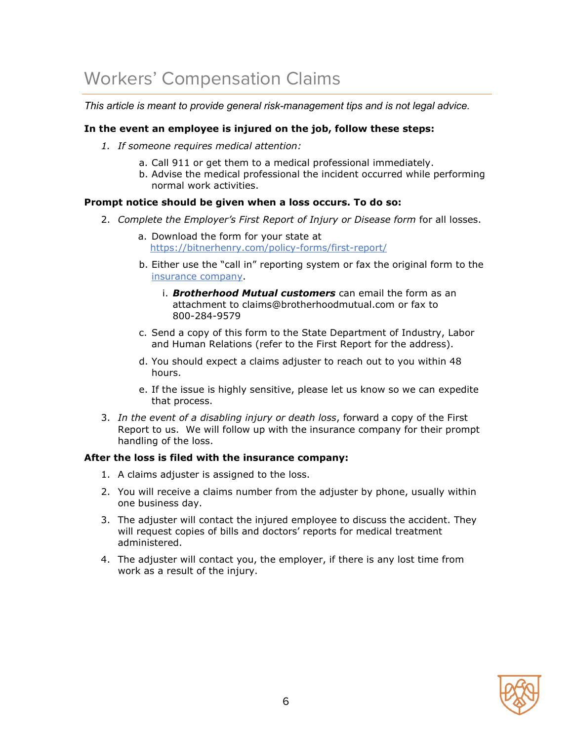## <span id="page-5-0"></span>Workers' Compensation Claims

*This article is meant to provide general risk-management tips and is not legal advice.*

#### **In the event an employee is injured on the job, follow these steps:**

- *1. If someone requires medical attention:*
	- a. Call 911 or get them to a medical professional immediately.
	- b. Advise the medical professional the incident occurred while performing normal work activities.

#### **Prompt notice should be given when a loss occurs. To do so:**

- 2. *Complete the Employer's First Report of Injury or Disease form* for all losses.
	- a. Download the form for your state at <https://bitnerhenry.com/policy-forms/first-report/>
	- b. Either use the "call in" reporting system or fax the original form to the [insurance company.](#page-7-0)
		- i. *Brotherhood Mutual customers* can email the form as an attachment to claims@brotherhoodmutual.com or fax to 800-284-9579
	- c. Send a copy of this form to the State Department of Industry, Labor and Human Relations (refer to the First Report for the address).
	- d. You should expect a claims adjuster to reach out to you within 48 hours.
	- e. If the issue is highly sensitive, please let us know so we can expedite that process.
- 3. *In the event of a disabling injury or death loss*, forward a copy of the First Report to us. We will follow up with the insurance company for their prompt handling of the loss.

#### **After the loss is filed with the insurance company:**

- 1. A claims adjuster is assigned to the loss.
- 2. You will receive a claims number from the adjuster by phone, usually within one business day.
- 3. The adjuster will contact the injured employee to discuss the accident. They will request copies of bills and doctors' reports for medical treatment administered.
- 4. The adjuster will contact you, the employer, if there is any lost time from work as a result of the injury.

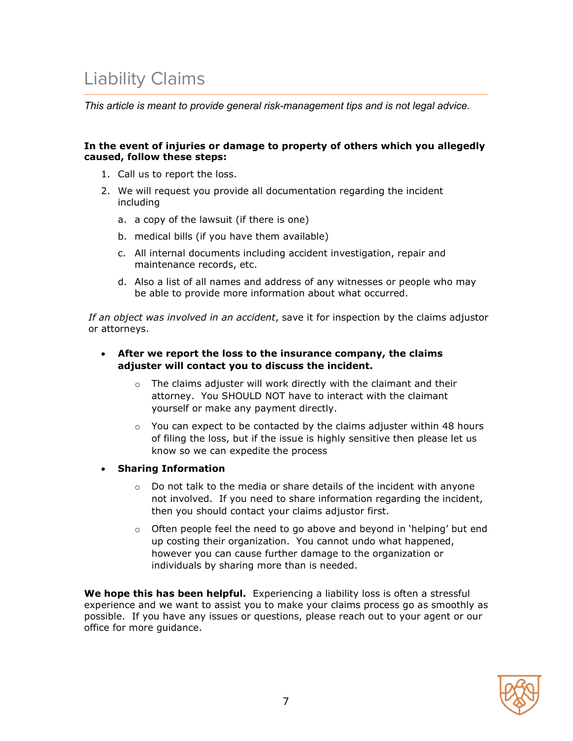### <span id="page-6-0"></span>Liability Claims

*This article is meant to provide general risk-management tips and is not legal advice.*

#### **In the event of injuries or damage to property of others which you allegedly caused, follow these steps:**

- 1. Call us to report the loss.
- 2. We will request you provide all documentation regarding the incident including
	- a. a copy of the lawsuit (if there is one)
	- b. medical bills (if you have them available)
	- c. All internal documents including accident investigation, repair and maintenance records, etc.
	- d. Also a list of all names and address of any witnesses or people who may be able to provide more information about what occurred.

*If an object was involved in an accident*, save it for inspection by the claims adjustor or attorneys.

#### • **After we report the loss to the insurance company, the claims adjuster will contact you to discuss the incident.**

- $\circ$  The claims adjuster will work directly with the claimant and their attorney. You SHOULD NOT have to interact with the claimant yourself or make any payment directly.
- $\circ$  You can expect to be contacted by the claims adjuster within 48 hours of filing the loss, but if the issue is highly sensitive then please let us know so we can expedite the process
- **Sharing Information**
	- $\circ$  Do not talk to the media or share details of the incident with anyone not involved. If you need to share information regarding the incident, then you should contact your claims adjustor first.
	- $\circ$  Often people feel the need to go above and beyond in 'helping' but end up costing their organization. You cannot undo what happened, however you can cause further damage to the organization or individuals by sharing more than is needed.

**We hope this has been helpful.** Experiencing a liability loss is often a stressful experience and we want to assist you to make your claims process go as smoothly as possible. If you have any issues or questions, please reach out to your agent or our office for more guidance.